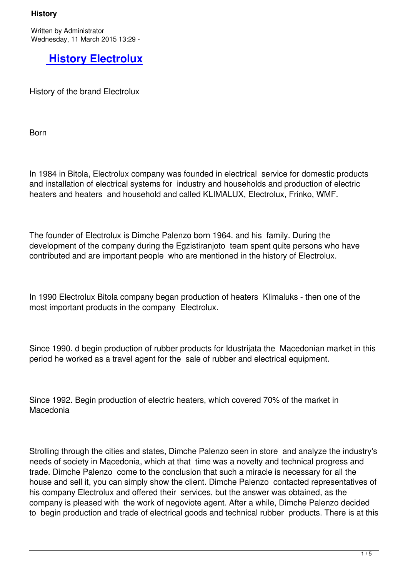Written by Administrator and Administrator and Administrator and Administrator and Administrator and Administrator and Administrator and Administrator and Administrator and Administrator and Administrator and Administrator Wednesday, 11 March 2015 13:29 -

## **History Electrolux**

Hist[ory of the brand Electrolux](http://shop.electrolux.com.mk/index.php/history-electrolux)

**Born** 

In 1984 in Bitola, Electrolux company was founded in electrical service for domestic products and installation of electrical systems for industry and households and production of electric heaters and heaters and household and called KLIMALUX, Electrolux, Frinko, WMF.

The founder of Electrolux is Dimche Palenzo born 1964. and his family. During the development of the company during the Egzistiranjoto team spent quite persons who have contributed and are important people who are mentioned in the history of Electrolux.

In 1990 Electrolux Bitola company began production of heaters Klimaluks - then one of the most important products in the company Electrolux.

Since 1990. d begin production of rubber products for Idustrijata the Macedonian market in this period he worked as a travel agent for the sale of rubber and electrical equipment.

Since 1992. Begin production of electric heaters, which covered 70% of the market in Macedonia

Strolling through the cities and states, Dimche Palenzo seen in store and analyze the industry's needs of society in Macedonia, which at that time was a novelty and technical progress and trade. Dimche Palenzo come to the conclusion that such a miracle is necessary for all the house and sell it, you can simply show the client. Dimche Palenzo contacted representatives of his company Electrolux and offered their services, but the answer was obtained, as the company is pleased with the work of negoviote agent. After a while, Dimche Palenzo decided to begin production and trade of electrical goods and technical rubber products. There is at this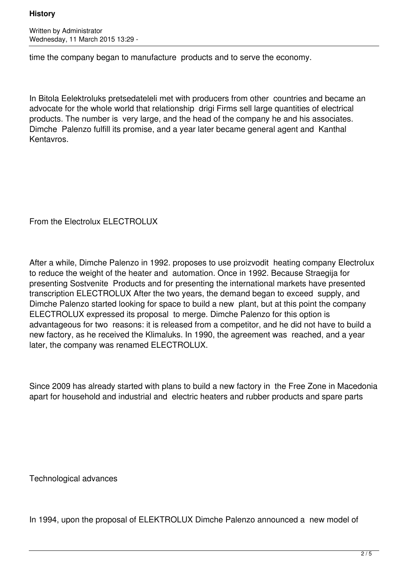## **History**

Written by Administrator Wednesday, 11 March 2015 13:29 -

time the company began to manufacture products and to serve the economy.

In Bitola Eelektroluks pretsedateleli met with producers from other countries and became an advocate for the whole world that relationship drigi Firms sell large quantities of electrical products. The number is very large, and the head of the company he and his associates. Dimche Palenzo fulfill its promise, and a year later became general agent and Kanthal Kentavros.

From the Electrolux ELECTROLUX

After a while, Dimche Palenzo in 1992. proposes to use proizvodit heating company Electrolux to reduce the weight of the heater and automation. Once in 1992. Because Straegija for presenting Sostvenite Products and for presenting the international markets have presented transcription ELECTROLUX After the two years, the demand began to exceed supply, and Dimche Palenzo started looking for space to build a new plant, but at this point the company ELECTROLUX expressed its proposal to merge. Dimche Palenzo for this option is advantageous for two reasons: it is released from a competitor, and he did not have to build a new factory, as he received the Klimaluks. In 1990, the agreement was reached, and a year later, the company was renamed ELECTROLUX.

Since 2009 has already started with plans to build a new factory in the Free Zone in Macedonia apart for household and industrial and electric heaters and rubber products and spare parts

Technological advances

In 1994, upon the proposal of ELEKTROLUX Dimche Palenzo announced a new model of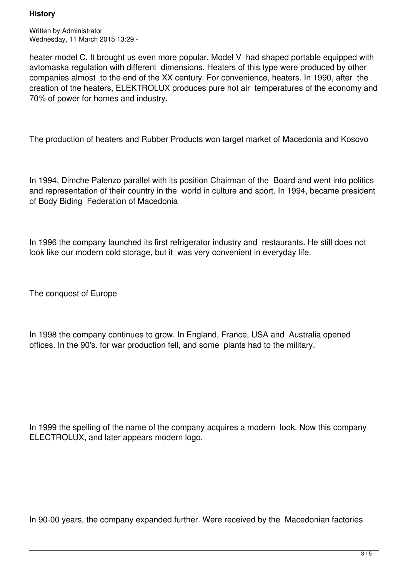## **History**

Written by Administrator Wednesday, 11 March 2015 13:29 -

heater model C. It brought us even more popular. Model V had shaped portable equipped with avtomaska regulation with different dimensions. Heaters of this type were produced by other companies almost to the end of the XX century. For convenience, heaters. In 1990, after the creation of the heaters, ELEKTROLUX produces pure hot air temperatures of the economy and 70% of power for homes and industry.

The production of heaters and Rubber Products won target market of Macedonia and Kosovo

In 1994, Dimche Palenzo parallel with its position Chairman of the Board and went into politics and representation of their country in the world in culture and sport. In 1994, became president of Body Biding Federation of Macedonia

In 1996 the company launched its first refrigerator industry and restaurants. He still does not look like our modern cold storage, but it was very convenient in everyday life.

The conquest of Europe

In 1998 the company continues to grow. In England, France, USA and Australia opened offices. In the 90's. for war production fell, and some plants had to the military.

In 1999 the spelling of the name of the company acquires a modern look. Now this company ELECTROLUX, and later appears modern logo.

In 90-00 years, the company expanded further. Were received by the Macedonian factories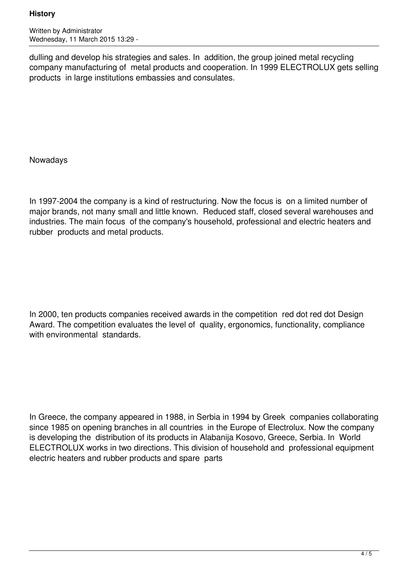Written by Administrator Wednesday, 11 March 2015 13:29 -

dulling and develop his strategies and sales. In addition, the group joined metal recycling company manufacturing of metal products and cooperation. In 1999 ELECTROLUX gets selling products in large institutions embassies and consulates.

Nowadays

In 1997-2004 the company is a kind of restructuring. Now the focus is on a limited number of major brands, not many small and little known. Reduced staff, closed several warehouses and industries. The main focus of the company's household, professional and electric heaters and rubber products and metal products.

In 2000, ten products companies received awards in the competition red dot red dot Design Award. The competition evaluates the level of quality, ergonomics, functionality, compliance with environmental standards.

In Greece, the company appeared in 1988, in Serbia in 1994 by Greek companies collaborating since 1985 on opening branches in all countries in the Europe of Electrolux. Now the company is developing the distribution of its products in Alabanija Kosovo, Greece, Serbia. In World ELECTROLUX works in two directions. This division of household and professional equipment electric heaters and rubber products and spare parts